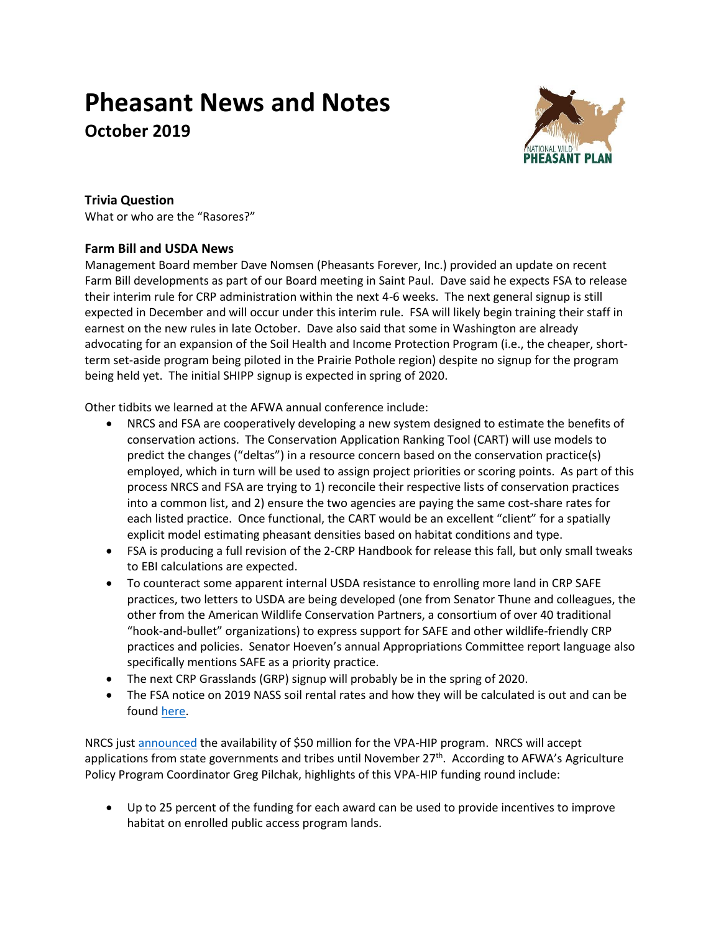# **Pheasant News and Notes October 2019**



## **Trivia Question**

What or who are the "Rasores?"

## **Farm Bill and USDA News**

Management Board member Dave Nomsen (Pheasants Forever, Inc.) provided an update on recent Farm Bill developments as part of our Board meeting in Saint Paul. Dave said he expects FSA to release their interim rule for CRP administration within the next 4-6 weeks. The next general signup is still expected in December and will occur under this interim rule. FSA will likely begin training their staff in earnest on the new rules in late October. Dave also said that some in Washington are already advocating for an expansion of the Soil Health and Income Protection Program (i.e., the cheaper, shortterm set-aside program being piloted in the Prairie Pothole region) despite no signup for the program being held yet. The initial SHIPP signup is expected in spring of 2020.

Other tidbits we learned at the AFWA annual conference include:

- NRCS and FSA are cooperatively developing a new system designed to estimate the benefits of conservation actions. The Conservation Application Ranking Tool (CART) will use models to predict the changes ("deltas") in a resource concern based on the conservation practice(s) employed, which in turn will be used to assign project priorities or scoring points. As part of this process NRCS and FSA are trying to 1) reconcile their respective lists of conservation practices into a common list, and 2) ensure the two agencies are paying the same cost-share rates for each listed practice. Once functional, the CART would be an excellent "client" for a spatially explicit model estimating pheasant densities based on habitat conditions and type.
- FSA is producing a full revision of the 2-CRP Handbook for release this fall, but only small tweaks to EBI calculations are expected.
- To counteract some apparent internal USDA resistance to enrolling more land in CRP SAFE practices, two letters to USDA are being developed (one from Senator Thune and colleagues, the other from the American Wildlife Conservation Partners, a consortium of over 40 traditional "hook-and-bullet" organizations) to express support for SAFE and other wildlife-friendly CRP practices and policies. Senator Hoeven's annual Appropriations Committee report language also specifically mentions SAFE as a priority practice.
- The next CRP Grasslands (GRP) signup will probably be in the spring of 2020.
- The FSA notice on 2019 NASS soil rental rates and how they will be calculated is out and can be found [here.](https://www.fsa.usda.gov/Internet/FSA_Notice/crp_878.pdf)

NRCS just [announced](https://nam02.safelinks.protection.outlook.com/?url=https%3A%2F%2Fwww.nrcs.usda.gov%2Fwps%2Fportal%2Fnrcs%2Fdetail%2Fnational%2Fnewsroom%2Freleases%2F%3Fcid%3Dnrcseprd1491414&data=02%7C01%7Cstaylor%40pheasantsforever.org%7C61d4e56ca4ca4bfc6e4308d7438e5164%7Caa7f2878315845b4bbebd7b7b3fe4ae3%7C1%7C1%7C637052151461211677&sdata=Idi3lKNDEl5QYIvE%2BMTfIULE0bIBFw63bv7cKUeaWy8%3D&reserved=0) the availability of \$50 million for the VPA-HIP program. NRCS will accept applications from state governments and tribes until November 27<sup>th</sup>. According to AFWA's Agriculture Policy Program Coordinator Greg Pilchak, highlights of this VPA-HIP funding round include:

• Up to 25 percent of the funding for each award can be used to provide incentives to improve habitat on enrolled public access program lands.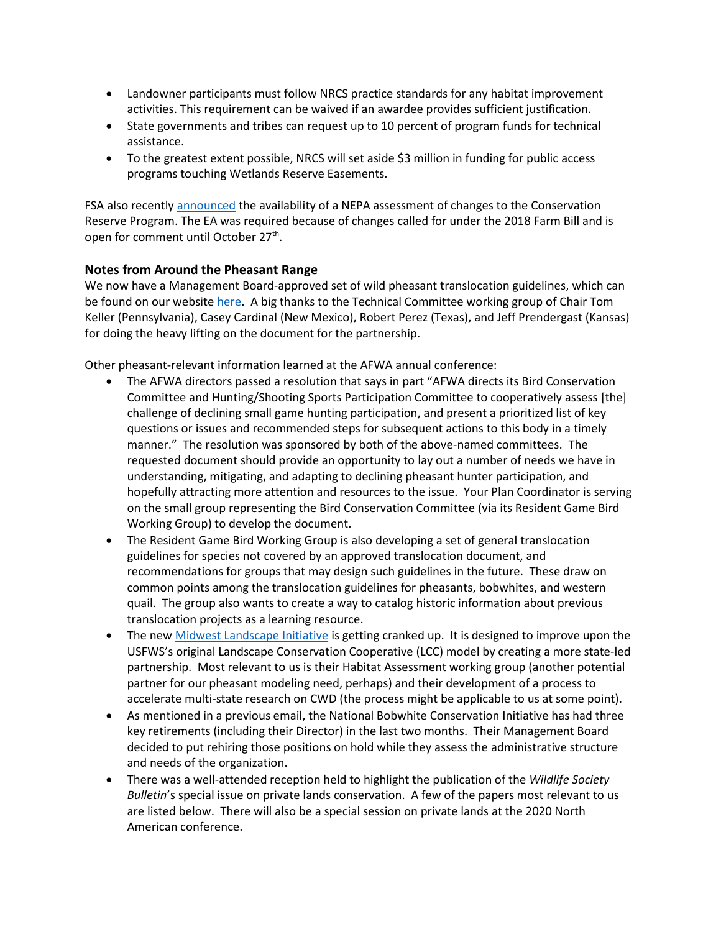- Landowner participants must follow NRCS practice standards for any habitat improvement activities. This requirement can be waived if an awardee provides sufficient justification.
- State governments and tribes can request up to 10 percent of program funds for technical assistance.
- To the greatest extent possible, NRCS will set aside \$3 million in funding for public access programs touching Wetlands Reserve Easements.

FSA also recently [announced](https://nam02.safelinks.protection.outlook.com/?url=https%3A%2F%2Fwww.fsa.usda.gov%2Fnews-room%2Fnews-releases%2F2019%2Fusda-seeking-comments-on-conservation-reserve-program-environmental-assessment&data=02%7C01%7Cstaylor%40pheasantsforever.org%7C61d4e56ca4ca4bfc6e4308d7438e5164%7Caa7f2878315845b4bbebd7b7b3fe4ae3%7C1%7C1%7C637052151461221673&sdata=pNLCz8WuCdW4SwrUyYoL8PfWHr1QM1v1nMMCEgkkodk%3D&reserved=0) the availability of a NEPA assessment of changes to the Conservation Reserve Program. The EA was required because of changes called for under the 2018 Farm Bill and is open for comment until October 27<sup>th</sup>.

#### **Notes from Around the Pheasant Range**

We now have a Management Board-approved set of wild pheasant translocation guidelines, which can be found on our website [here.](http://nationalpheasantplan.org/wp-content/uploads/2019/09/NWPTC-Interstate-pheasant-translocation-guidelines-2019.pdf) A big thanks to the Technical Committee working group of Chair Tom Keller (Pennsylvania), Casey Cardinal (New Mexico), Robert Perez (Texas), and Jeff Prendergast (Kansas) for doing the heavy lifting on the document for the partnership.

Other pheasant-relevant information learned at the AFWA annual conference:

- The AFWA directors passed a resolution that says in part "AFWA directs its Bird Conservation Committee and Hunting/Shooting Sports Participation Committee to cooperatively assess [the] challenge of declining small game hunting participation, and present a prioritized list of key questions or issues and recommended steps for subsequent actions to this body in a timely manner." The resolution was sponsored by both of the above-named committees. The requested document should provide an opportunity to lay out a number of needs we have in understanding, mitigating, and adapting to declining pheasant hunter participation, and hopefully attracting more attention and resources to the issue. Your Plan Coordinator is serving on the small group representing the Bird Conservation Committee (via its Resident Game Bird Working Group) to develop the document.
- The Resident Game Bird Working Group is also developing a set of general translocation guidelines for species not covered by an approved translocation document, and recommendations for groups that may design such guidelines in the future. These draw on common points among the translocation guidelines for pheasants, bobwhites, and western quail. The group also wants to create a way to catalog historic information about previous translocation projects as a learning resource.
- The ne[w Midwest Landscape Initiative](http://www.mafwa.org/?page_id=3391) is getting cranked up. It is designed to improve upon the USFWS's original Landscape Conservation Cooperative (LCC) model by creating a more state-led partnership. Most relevant to us is their Habitat Assessment working group (another potential partner for our pheasant modeling need, perhaps) and their development of a process to accelerate multi-state research on CWD (the process might be applicable to us at some point).
- As mentioned in a previous email, the National Bobwhite Conservation Initiative has had three key retirements (including their Director) in the last two months. Their Management Board decided to put rehiring those positions on hold while they assess the administrative structure and needs of the organization.
- There was a well-attended reception held to highlight the publication of the *Wildlife Society Bulletin*'s special issue on private lands conservation. A few of the papers most relevant to us are listed below. There will also be a special session on private lands at the 2020 North American conference.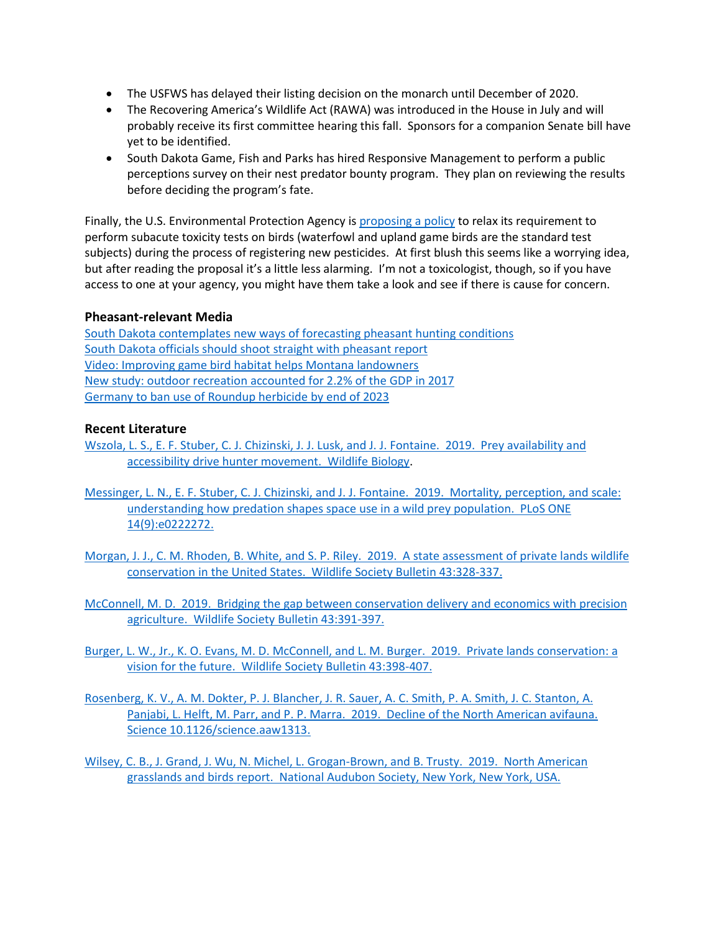- The USFWS has delayed their listing decision on the monarch until December of 2020.
- The Recovering America's Wildlife Act (RAWA) was introduced in the House in July and will probably receive its first committee hearing this fall. Sponsors for a companion Senate bill have yet to be identified.
- South Dakota Game, Fish and Parks has hired Responsive Management to perform a public perceptions survey on their nest predator bounty program. They plan on reviewing the results before deciding the program's fate.

Finally, the U.S. Environmental Protection Agency is [proposing a policy](https://www.epa.gov/sites/production/files/2019-09/documents/draft-waiver-guidance-avian-sub-acute-dietary.pdf) to relax its requirement to perform subacute toxicity tests on birds (waterfowl and upland game birds are the standard test subjects) during the process of registering new pesticides. At first blush this seems like a worrying idea, but after reading the proposal it's a little less alarming. I'm not a toxicologist, though, so if you have access to one at your agency, you might have them take a look and see if there is cause for concern.

### **Pheasant-relevant Media**

[South Dakota contemplates new ways of forecasting pheasant hunting conditions](https://www.keloland.com/news/capitol-news-bureau/gfp-leader-says-hes-working-on-a-new-way-to-gauge-south-dakotas-pheasant-numbers/) [South Dakota officials should shoot straight](https://www.mitchellrepublic.com/opinion/editorials/4652199-OUR-VIEW-GFP-should-shoot-straight-with-pheasant-report) with pheasant report [Video: Improving game bird habitat helps Montana landowners](https://billingsgazette.com/outdoors/video-improving-game-bird-habitat-helps-landowners/youtube_a2c7654d-72ff-5d59-812a-73d64d8eff9c.html#tncms-source=infinity-scroll-summary-siderail-latest) [New study: outdoor recreation accounted for 2.2% of the GDP in 2017](https://www.bea.gov/data/special-topics/outdoor-recreation?emci=0197c0e4-16db-e911-b5e9-2818784d6d68&emdi=2fae1230-e3db-e911-b5e9-2818784d6d68&ceid=1730541) [Germany to ban use of Roundup herbicide by end of 2023](https://www.theguardian.com/environment/2019/sep/04/germany-ban-glyphosate-weedkiller-by-2023)

#### **Recent Literature**

- [Wszola, L. S., E. F. Stuber, C. J. Chizinski, J. J. Lusk, and J. J. Fontaine. 2019. Prey availability and](https://doi.org/10.2981/wlb.00526)  [accessibility drive hunter movement. Wildlife Biology.](https://doi.org/10.2981/wlb.00526)
- [Messinger, L. N., E. F. Stuber, C. J. Chizinski, and J. J. Fontaine. 2019. Mortality, perception, and scale:](https://doi.org/10.1371/journal.pone.0222272)  [understanding how predation shapes space use in a wild prey population. PLoS ONE](https://doi.org/10.1371/journal.pone.0222272)  [14\(9\):e0222272.](https://doi.org/10.1371/journal.pone.0222272)
- [Morgan, J. J., C. M. Rhoden, B. White, and S. P. Riley. 2019. A state assessment of private lands wildlife](https://doi.org/10.1002/wsb.997)  [conservation in the United States. Wildlife Society Bulletin 43:328-337.](https://doi.org/10.1002/wsb.997)
- [McConnell, M. D. 2019. Bridging the gap between conservation delivery and economics with precision](https://doi.org/10.1002/wsb.995)  [agriculture. Wildlife Society Bulletin](https://doi.org/10.1002/wsb.995) 43:391-397.
- Burger, L. W., [Jr., K. O. Evans, M. D. McConnell, and L. M. Burger. 2019. Private lands conservation: a](https://doi.org/10.1002/wsb.1001)  vision for [the future. Wildlife Society Bulletin](https://doi.org/10.1002/wsb.1001) 43:398-407.
- [Rosenberg, K. V., A. M. Dokter, P. J. Blancher, J. R. Sauer, A. C. Smith, P. A. Smith, J. C. Stanton, A.](https://science.sciencemag.org/content/early/2019/09/18/science.aaw1313)  Panjabi, L. Helft, M. Parr, and P. [P. Marra. 2019. Decline of the North American avifauna.](https://science.sciencemag.org/content/early/2019/09/18/science.aaw1313)  Science [10.1126/science.aaw1313.](https://science.sciencemag.org/content/early/2019/09/18/science.aaw1313)

[Wilsey, C. B., J. Grand, J. Wu, N. Michel, L. Grogan-Brown, and B. Trusty. 2019. North American](https://www.audubon.org/sites/default/files/audubon_north_american_grasslands_birds_report-final.pdf)  [grasslands and birds report. National Audubon Society, New York, New York, USA.](https://www.audubon.org/sites/default/files/audubon_north_american_grasslands_birds_report-final.pdf)